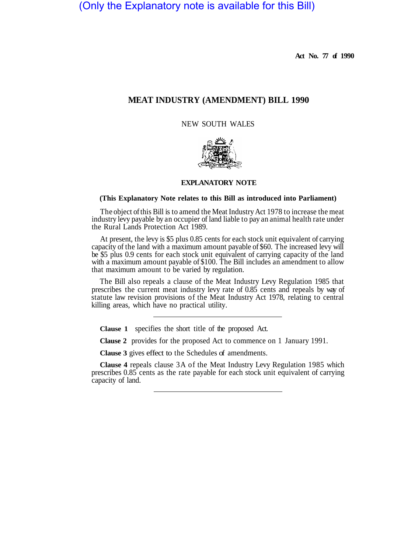(Only the Explanatory note is available for this Bill)

**Act No. 77 of 1990** 

# **MEAT INDUSTRY (AMENDMENT) BILL 1990**

NEW SOUTH WALES



#### **EXPLANATORY NOTE**

## **(This Explanatory Note relates to this Bill as introduced into Parliament)**

The object of this Bill is to amend the Meat Industry Act 1978 to increase the meat industry levy payable by an occupier of land liable to pay an animal health rate under the Rural Lands Protection Act 1989.

At present, the levy is \$5 plus 0.85 cents for each stock unit equivalent of carrying capacity of the land with a maximum amount payable of \$60. The increased levy will be \$5 plus 0.9 cents for each stock unit equivalent of carrying capacity of the land with a maximum amount payable of \$100. The Bill includes an amendment to allow that maximum amount to be varied by regulation.

The Bill also repeals a clause of the Meat Industry Levy Regulation 1985 that prescribes the current meat industry levy rate of 0.85 cents and repeals by way of statute law revision provisions of the Meat Industry Act 1978, relating to central killing areas, which have no practical utility.

**Clause 1** specifies the short title of the proposed Act.

**Clause 2** provides for the proposed Act to commence on 1 January 1991.

**Clause 3** gives effect to the Schedules of amendments.

**Clause 4** repeals clause 3A of the Meat Industry Levy Regulation 1985 which prescribes 0.85 cents as the rate payable for each stock unit equivalent of carrying capacity of land.